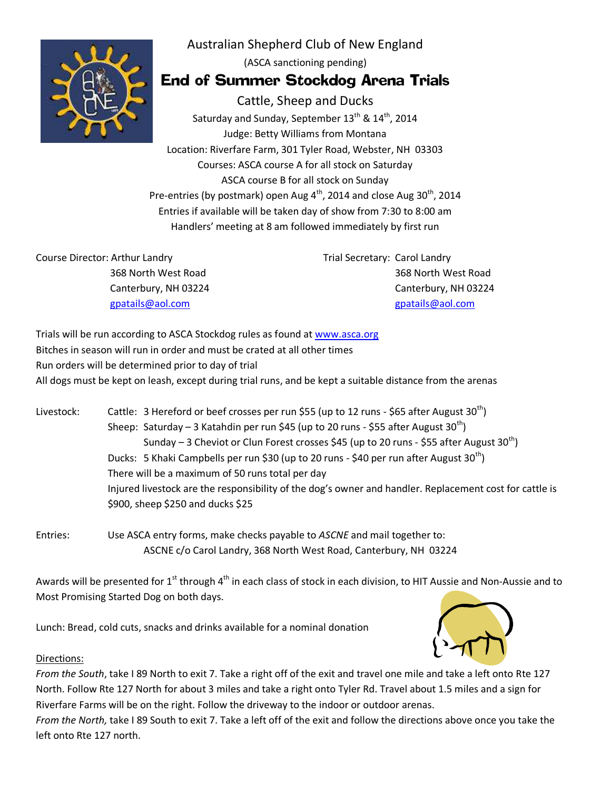

Australian Shepherd Club of New England (ASCA sanctioning pending)

## End of Summer Stockdog Arena Trials

Cattle, Sheep and Ducks Saturday and Sunday, September 13<sup>th</sup> & 14<sup>th</sup>, 2014 Judge: Betty Williams from Montana Location: Riverfare Farm, 301 Tyler Road, Webster, NH 03303 Courses: ASCA course A for all stock on Saturday ASCA course B for all stock on Sunday Pre-entries (by postmark) open Aug  $4^{\text{th}}$ , 2014 and close Aug 30<sup>th</sup>, 2014 Entries if available will be taken day of show from 7:30 to 8:00 am Handlers' meeting at 8 am followed immediately by first run

Course Director: Arthur Landry 368 North West Road Canterbury, NH 03224 gpatails@aol.com

Trial Secretary: Carol Landry 368 North West Road Canterbury, NH 03224 gpatails@aol.com

Trials will be run according to ASCA Stockdog rules as found at www.asca.org Bitches in season will run in order and must be crated at all other times Run orders will be determined prior to day of trial All dogs must be kept on leash, except during trial runs, and be kept a suitable distance from the arenas

Livestock: Cattle: 3 Hereford or beef crosses per run \$55 (up to 12 runs - \$65 after August 30<sup>th</sup>) Sheep: Saturday - 3 Katahdin per run \$45 (up to 20 runs - \$55 after August  $30^{th}$ ) Sunday – 3 Cheviot or Clun Forest crosses \$45 (up to 20 runs - \$55 after August  $30<sup>th</sup>$ ) Ducks: 5 Khaki Campbells per run \$30 (up to 20 runs - \$40 per run after August  $30<sup>th</sup>$ ) There will be a maximum of 50 runs total per day Injured livestock are the responsibility of the dog's owner and handler. Replacement cost for cattle is \$900, sheep \$250 and ducks \$25

Entries: Use ASCA entry forms, make checks payable to *ASCNE* and mail together to: ASCNE c/o Carol Landry, 368 North West Road, Canterbury, NH 03224

Awards will be presented for  $1^{\text{st}}$  through  $4^{\text{th}}$  in each class of stock in each division, to HIT Aussie and Non-Aussie and to Most Promising Started Dog on both days.

Lunch: Bread, cold cuts, snacks and drinks available for a nominal donation



## Directions:

*From the South*, take I 89 North to exit 7. Take a right off of the exit and travel one mile and take a left onto Rte 127 North. Follow Rte 127 North for about 3 miles and take a right onto Tyler Rd. Travel about 1.5 miles and a sign for Riverfare Farms will be on the right. Follow the driveway to the indoor or outdoor arenas.

*From the North,* take I 89 South to exit 7. Take a left off of the exit and follow the directions above once you take the left onto Rte 127 north.